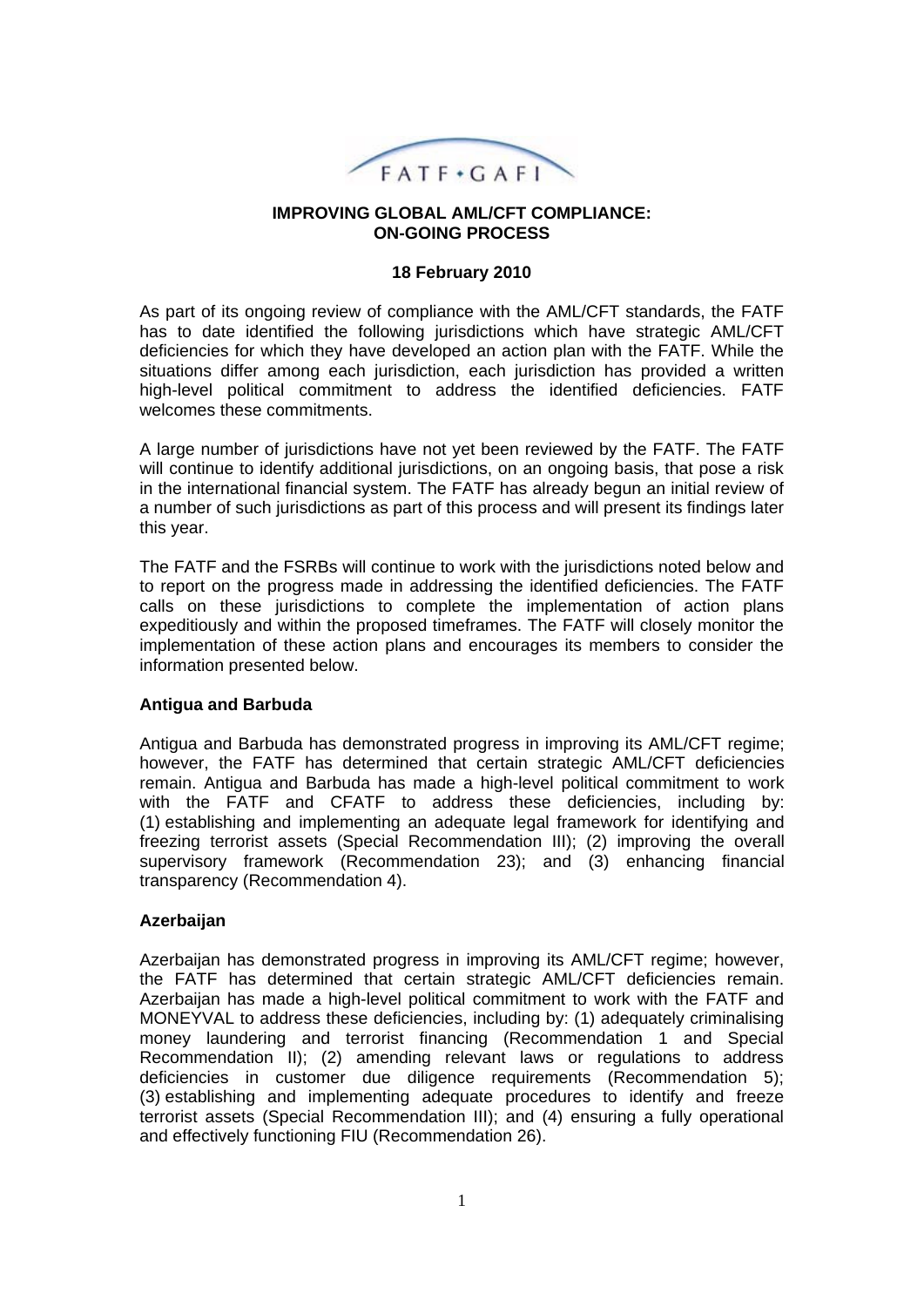

#### **IMPROVING GLOBAL AML/CFT COMPLIANCE: ON-GOING PROCESS**

#### **18 February 2010**

As part of its ongoing review of compliance with the AML/CFT standards, the FATF has to date identified the following jurisdictions which have strategic AML/CFT deficiencies for which they have developed an action plan with the FATF. While the situations differ among each jurisdiction, each jurisdiction has provided a written high-level political commitment to address the identified deficiencies. FATF welcomes these commitments.

A large number of jurisdictions have not yet been reviewed by the FATF. The FATF will continue to identify additional jurisdictions, on an ongoing basis, that pose a risk in the international financial system. The FATF has already begun an initial review of a number of such jurisdictions as part of this process and will present its findings later this year.

The FATF and the FSRBs will continue to work with the jurisdictions noted below and to report on the progress made in addressing the identified deficiencies. The FATF calls on these jurisdictions to complete the implementation of action plans expeditiously and within the proposed timeframes. The FATF will closely monitor the implementation of these action plans and encourages its members to consider the information presented below.

#### **Antigua and Barbuda**

Antigua and Barbuda has demonstrated progress in improving its AML/CFT regime; however, the FATF has determined that certain strategic AML/CFT deficiencies remain. Antigua and Barbuda has made a high-level political commitment to work with the FATF and CFATF to address these deficiencies, including by: (1) establishing and implementing an adequate legal framework for identifying and freezing terrorist assets (Special Recommendation III); (2) improving the overall supervisory framework (Recommendation 23); and (3) enhancing financial transparency (Recommendation 4).

#### **Azerbaijan**

Azerbaijan has demonstrated progress in improving its AML/CFT regime; however, the FATF has determined that certain strategic AML/CFT deficiencies remain. Azerbaijan has made a high-level political commitment to work with the FATF and MONEYVAL to address these deficiencies, including by: (1) adequately criminalising money laundering and terrorist financing (Recommendation 1 and Special Recommendation II); (2) amending relevant laws or regulations to address deficiencies in customer due diligence requirements (Recommendation 5); (3) establishing and implementing adequate procedures to identify and freeze terrorist assets (Special Recommendation III); and (4) ensuring a fully operational and effectively functioning FIU (Recommendation 26).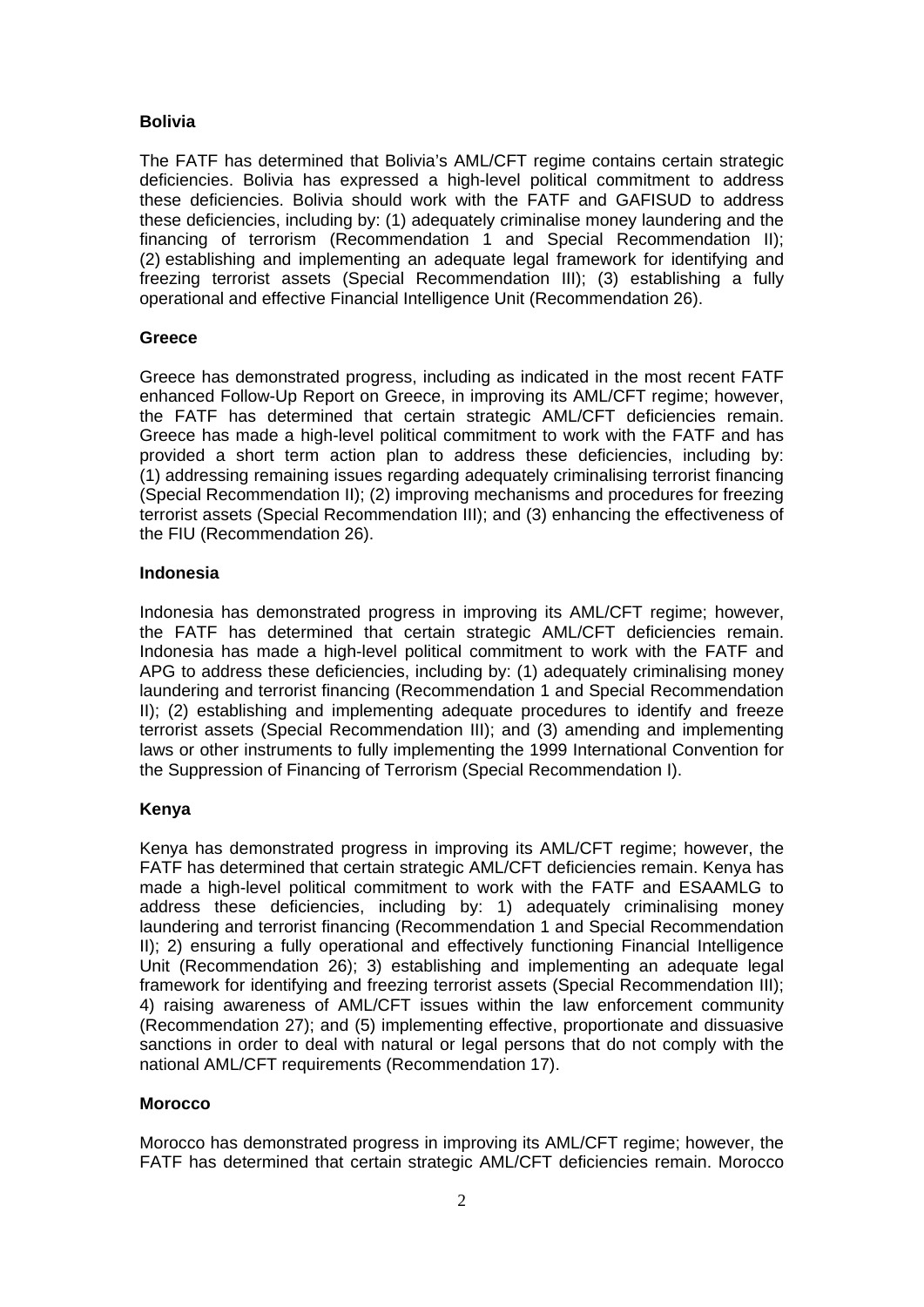## **Bolivia**

The FATF has determined that Bolivia's AML/CFT regime contains certain strategic deficiencies. Bolivia has expressed a high-level political commitment to address these deficiencies. Bolivia should work with the FATF and GAFISUD to address these deficiencies, including by: (1) adequately criminalise money laundering and the financing of terrorism (Recommendation 1 and Special Recommendation II); (2) establishing and implementing an adequate legal framework for identifying and freezing terrorist assets (Special Recommendation III); (3) establishing a fully operational and effective Financial Intelligence Unit (Recommendation 26).

### **Greece**

Greece has demonstrated progress, including as indicated in the most recent FATF enhanced Follow-Up Report on Greece, in improving its AML/CFT regime; however, the FATF has determined that certain strategic AML/CFT deficiencies remain. Greece has made a high-level political commitment to work with the FATF and has provided a short term action plan to address these deficiencies, including by: (1) addressing remaining issues regarding adequately criminalising terrorist financing (Special Recommendation II); (2) improving mechanisms and procedures for freezing terrorist assets (Special Recommendation III); and (3) enhancing the effectiveness of the FIU (Recommendation 26).

# **Indonesia**

Indonesia has demonstrated progress in improving its AML/CFT regime; however, the FATF has determined that certain strategic AML/CFT deficiencies remain. Indonesia has made a high-level political commitment to work with the FATF and APG to address these deficiencies, including by: (1) adequately criminalising money laundering and terrorist financing (Recommendation 1 and Special Recommendation II); (2) establishing and implementing adequate procedures to identify and freeze terrorist assets (Special Recommendation III); and (3) amending and implementing laws or other instruments to fully implementing the 1999 International Convention for the Suppression of Financing of Terrorism (Special Recommendation I).

## **Kenya**

Kenya has demonstrated progress in improving its AML/CFT regime; however, the FATF has determined that certain strategic AML/CFT deficiencies remain. Kenya has made a high-level political commitment to work with the FATF and ESAAMLG to address these deficiencies, including by: 1) adequately criminalising money laundering and terrorist financing (Recommendation 1 and Special Recommendation II); 2) ensuring a fully operational and effectively functioning Financial Intelligence Unit (Recommendation 26); 3) establishing and implementing an adequate legal framework for identifying and freezing terrorist assets (Special Recommendation III); 4) raising awareness of AML/CFT issues within the law enforcement community (Recommendation 27); and (5) implementing effective, proportionate and dissuasive sanctions in order to deal with natural or legal persons that do not comply with the national AML/CFT requirements (Recommendation 17).

#### **Morocco**

Morocco has demonstrated progress in improving its AML/CFT regime; however, the FATF has determined that certain strategic AML/CFT deficiencies remain. Morocco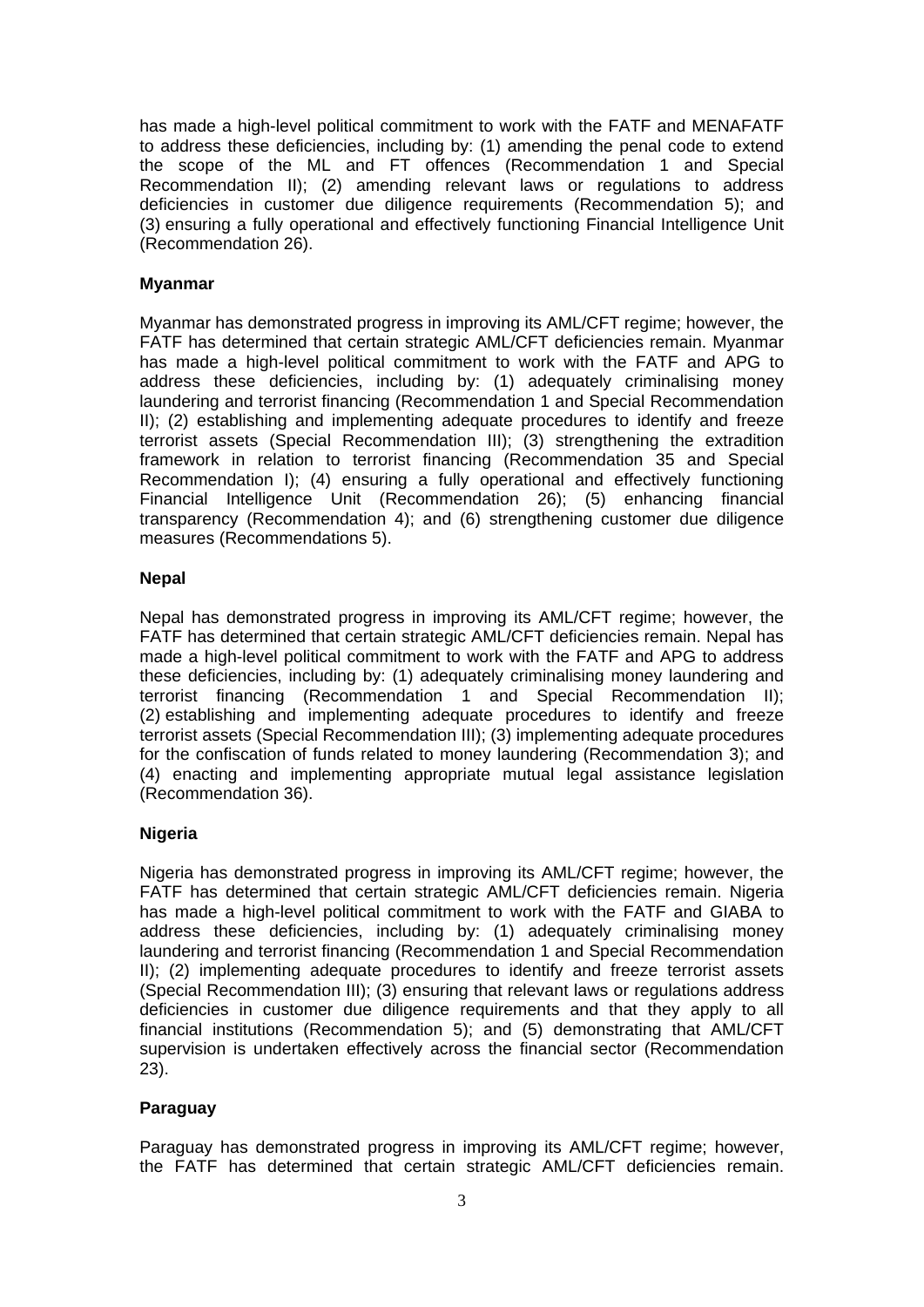has made a high-level political commitment to work with the FATF and MENAFATF to address these deficiencies, including by: (1) amending the penal code to extend the scope of the ML and FT offences (Recommendation 1 and Special Recommendation II); (2) amending relevant laws or regulations to address deficiencies in customer due diligence requirements (Recommendation 5); and (3) ensuring a fully operational and effectively functioning Financial Intelligence Unit (Recommendation 26).

### **Myanmar**

Myanmar has demonstrated progress in improving its AML/CFT regime; however, the FATF has determined that certain strategic AML/CFT deficiencies remain. Myanmar has made a high-level political commitment to work with the FATF and APG to address these deficiencies, including by: (1) adequately criminalising money laundering and terrorist financing (Recommendation 1 and Special Recommendation II); (2) establishing and implementing adequate procedures to identify and freeze terrorist assets (Special Recommendation III); (3) strengthening the extradition framework in relation to terrorist financing (Recommendation 35 and Special Recommendation I); (4) ensuring a fully operational and effectively functioning Financial Intelligence Unit (Recommendation 26); (5) enhancing financial transparency (Recommendation 4); and (6) strengthening customer due diligence measures (Recommendations 5).

#### **Nepal**

Nepal has demonstrated progress in improving its AML/CFT regime; however, the FATF has determined that certain strategic AML/CFT deficiencies remain. Nepal has made a high-level political commitment to work with the FATF and APG to address these deficiencies, including by: (1) adequately criminalising money laundering and terrorist financing (Recommendation 1 and Special Recommendation II); (2) establishing and implementing adequate procedures to identify and freeze terrorist assets (Special Recommendation III); (3) implementing adequate procedures for the confiscation of funds related to money laundering (Recommendation 3); and (4) enacting and implementing appropriate mutual legal assistance legislation (Recommendation 36).

## **Nigeria**

Nigeria has demonstrated progress in improving its AML/CFT regime; however, the FATF has determined that certain strategic AML/CFT deficiencies remain. Nigeria has made a high-level political commitment to work with the FATF and GIABA to address these deficiencies, including by: (1) adequately criminalising money laundering and terrorist financing (Recommendation 1 and Special Recommendation II); (2) implementing adequate procedures to identify and freeze terrorist assets (Special Recommendation III); (3) ensuring that relevant laws or regulations address deficiencies in customer due diligence requirements and that they apply to all financial institutions (Recommendation 5); and (5) demonstrating that AML/CFT supervision is undertaken effectively across the financial sector (Recommendation 23).

## **Paraguay**

Paraguay has demonstrated progress in improving its AML/CFT regime; however, the FATF has determined that certain strategic AML/CFT deficiencies remain.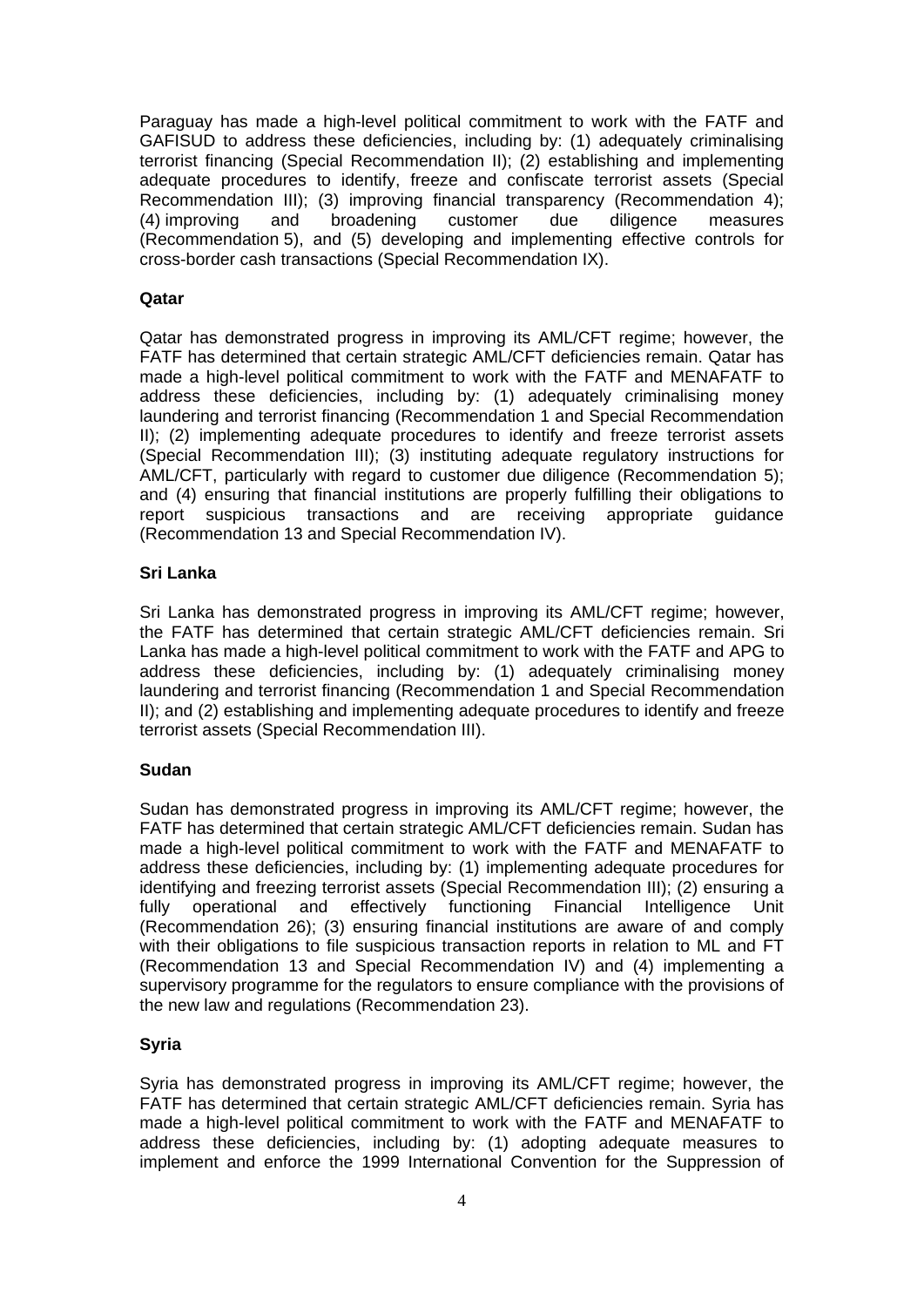Paraguay has made a high-level political commitment to work with the FATF and GAFISUD to address these deficiencies, including by: (1) adequately criminalising terrorist financing (Special Recommendation II); (2) establishing and implementing adequate procedures to identify, freeze and confiscate terrorist assets (Special Recommendation III); (3) improving financial transparency (Recommendation 4); (4) improving and broadening customer due diligence measures (Recommendation 5), and (5) developing and implementing effective controls for cross-border cash transactions (Special Recommendation IX).

### **Qatar**

Qatar has demonstrated progress in improving its AML/CFT regime; however, the FATF has determined that certain strategic AML/CFT deficiencies remain. Qatar has made a high-level political commitment to work with the FATF and MENAFATF to address these deficiencies, including by: (1) adequately criminalising money laundering and terrorist financing (Recommendation 1 and Special Recommendation II); (2) implementing adequate procedures to identify and freeze terrorist assets (Special Recommendation III); (3) instituting adequate regulatory instructions for AML/CFT, particularly with regard to customer due diligence (Recommendation 5); and (4) ensuring that financial institutions are properly fulfilling their obligations to report suspicious transactions and are receiving appropriate guidance (Recommendation 13 and Special Recommendation IV).

## **Sri Lanka**

Sri Lanka has demonstrated progress in improving its AML/CFT regime; however, the FATF has determined that certain strategic AML/CFT deficiencies remain. Sri Lanka has made a high-level political commitment to work with the FATF and APG to address these deficiencies, including by: (1) adequately criminalising money laundering and terrorist financing (Recommendation 1 and Special Recommendation II); and (2) establishing and implementing adequate procedures to identify and freeze terrorist assets (Special Recommendation III).

#### **Sudan**

Sudan has demonstrated progress in improving its AML/CFT regime; however, the FATF has determined that certain strategic AML/CFT deficiencies remain. Sudan has made a high-level political commitment to work with the FATF and MENAFATF to address these deficiencies, including by: (1) implementing adequate procedures for identifying and freezing terrorist assets (Special Recommendation III); (2) ensuring a fully operational and effectively functioning Financial Intelligence Unit (Recommendation 26); (3) ensuring financial institutions are aware of and comply with their obligations to file suspicious transaction reports in relation to ML and FT (Recommendation 13 and Special Recommendation IV) and (4) implementing a supervisory programme for the regulators to ensure compliance with the provisions of the new law and regulations (Recommendation 23).

## **Syria**

Syria has demonstrated progress in improving its AML/CFT regime; however, the FATF has determined that certain strategic AML/CFT deficiencies remain. Syria has made a high-level political commitment to work with the FATF and MENAFATF to address these deficiencies, including by: (1) adopting adequate measures to implement and enforce the 1999 International Convention for the Suppression of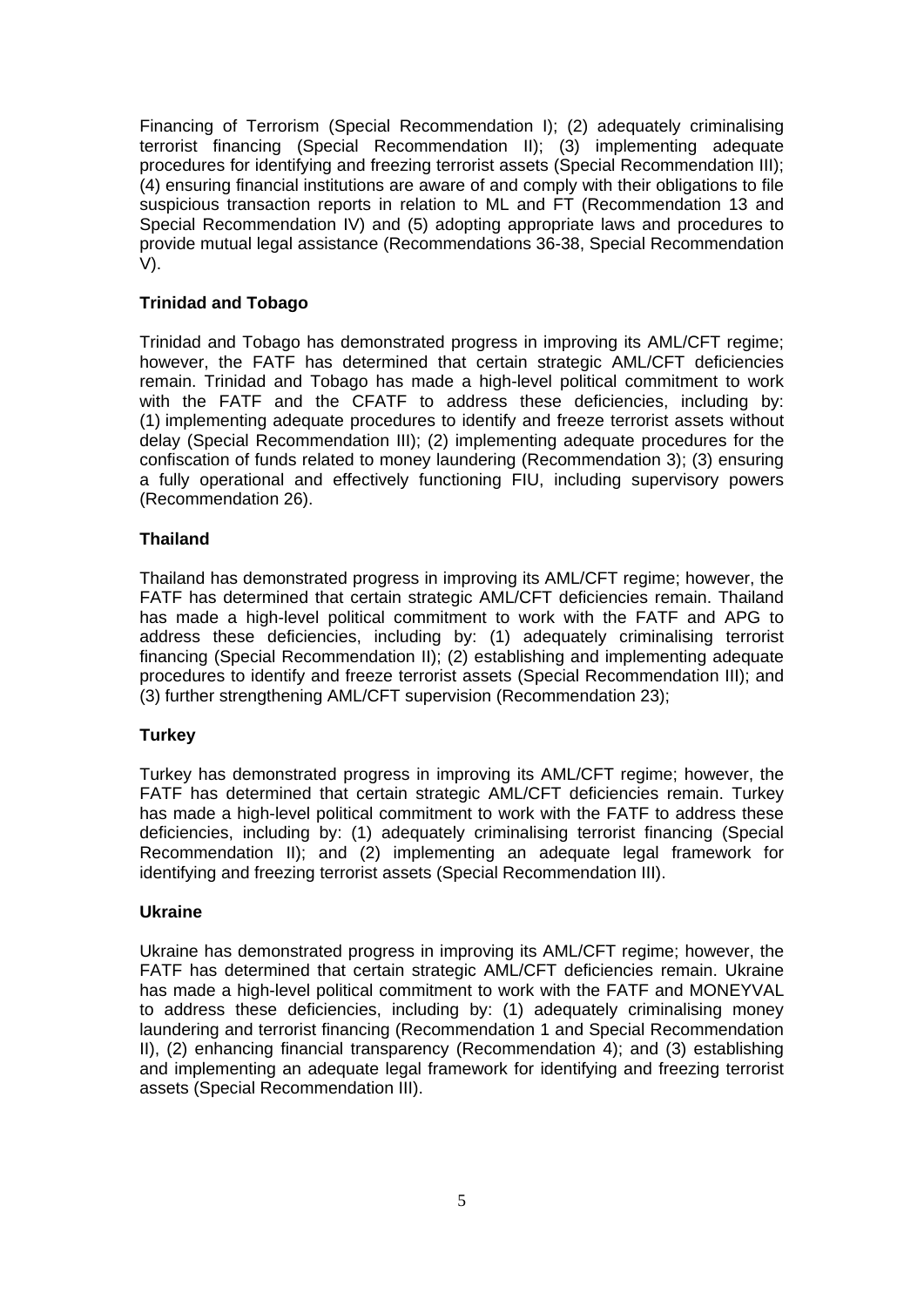Financing of Terrorism (Special Recommendation I); (2) adequately criminalising terrorist financing (Special Recommendation II); (3) implementing adequate procedures for identifying and freezing terrorist assets (Special Recommendation III); (4) ensuring financial institutions are aware of and comply with their obligations to file suspicious transaction reports in relation to ML and FT (Recommendation 13 and Special Recommendation IV) and (5) adopting appropriate laws and procedures to provide mutual legal assistance (Recommendations 36-38, Special Recommendation V).

## **Trinidad and Tobago**

Trinidad and Tobago has demonstrated progress in improving its AML/CFT regime; however, the FATF has determined that certain strategic AML/CFT deficiencies remain. Trinidad and Tobago has made a high-level political commitment to work with the FATF and the CFATF to address these deficiencies, including by: (1) implementing adequate procedures to identify and freeze terrorist assets without delay (Special Recommendation III); (2) implementing adequate procedures for the confiscation of funds related to money laundering (Recommendation 3); (3) ensuring a fully operational and effectively functioning FIU, including supervisory powers (Recommendation 26).

## **Thailand**

Thailand has demonstrated progress in improving its AML/CFT regime; however, the FATF has determined that certain strategic AML/CFT deficiencies remain. Thailand has made a high-level political commitment to work with the FATF and APG to address these deficiencies, including by: (1) adequately criminalising terrorist financing (Special Recommendation II); (2) establishing and implementing adequate procedures to identify and freeze terrorist assets (Special Recommendation III); and (3) further strengthening AML/CFT supervision (Recommendation 23);

## **Turkey**

Turkey has demonstrated progress in improving its AML/CFT regime; however, the FATF has determined that certain strategic AML/CFT deficiencies remain. Turkey has made a high-level political commitment to work with the FATF to address these deficiencies, including by: (1) adequately criminalising terrorist financing (Special Recommendation II); and (2) implementing an adequate legal framework for identifying and freezing terrorist assets (Special Recommendation III).

#### **Ukraine**

Ukraine has demonstrated progress in improving its AML/CFT regime; however, the FATF has determined that certain strategic AML/CFT deficiencies remain. Ukraine has made a high-level political commitment to work with the FATF and MONEYVAL to address these deficiencies, including by: (1) adequately criminalising money laundering and terrorist financing (Recommendation 1 and Special Recommendation II), (2) enhancing financial transparency (Recommendation 4); and (3) establishing and implementing an adequate legal framework for identifying and freezing terrorist assets (Special Recommendation III).